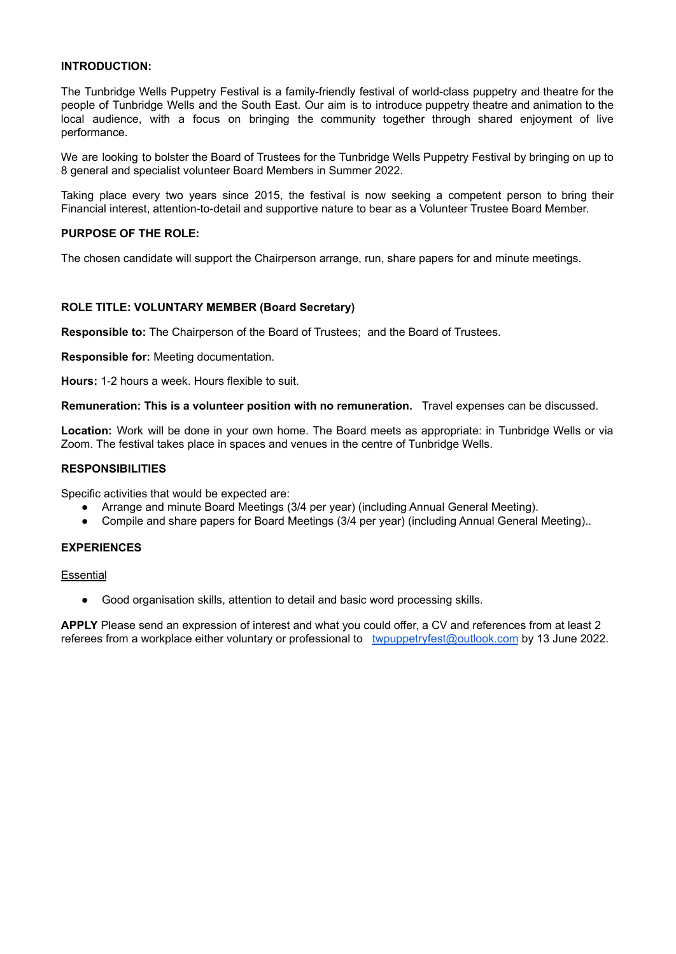# **INTRODUCTION:**

The Tunbridge Wells Puppetry Festival is a family-friendly festival of world-class puppetry and theatre for the people of Tunbridge Wells and the South East. Our aim is to introduce puppetry theatre and animation to the local audience, with a focus on bringing the community together through shared enjoyment of live performance.

We are looking to bolster the Board of Trustees for the Tunbridge Wells Puppetry Festival by bringing on up to 8 general and specialist volunteer Board Members in Summer 2022.

Taking place every two years since 2015, the festival is now seeking a competent person to bring their Financial interest, attention-to-detail and supportive nature to bear as a Volunteer Trustee Board Member.

# **PURPOSE OF THE ROLE:**

The chosen candidate will support the Chairperson arrange, run, share papers for and minute meetings.

# **ROLE TITLE: VOLUNTARY MEMBER (Board Secretary)**

**Responsible to:** The Chairperson of the Board of Trustees; and the Board of Trustees.

**Responsible for:** Meeting documentation.

**Hours:** 1-2 hours a week. Hours flexible to suit.

**Remuneration: This is a volunteer position with no remuneration.** Travel expenses can be discussed.

**Location:** Work will be done in your own home. The Board meets as appropriate: in Tunbridge Wells or via Zoom. The festival takes place in spaces and venues in the centre of Tunbridge Wells.

### **RESPONSIBILITIES**

Specific activities that would be expected are:

- Arrange and minute Board Meetings (3/4 per year) (including Annual General Meeting).
- Compile and share papers for Board Meetings (3/4 per year) (including Annual General Meeting)..

### **EXPERIENCES**

**Essential** 

● Good organisation skills, attention to detail and basic word processing skills.

**APPLY** Please send an expression of interest and what you could offer, a CV and references from at least 2 referees from a workplace either voluntary or professional to [twpuppetryfest@outlook.com](mailto:twpuppetryfest@outlook.com) by 13 June 2022.